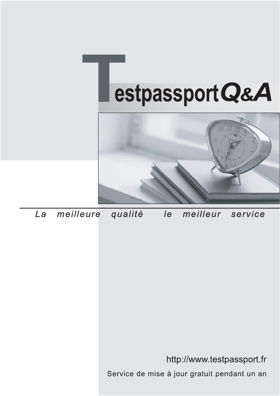



meilleure La qualité  $\overline{e}$ meilleur service

http://www.testpassport.fr

Service de mise à jour gratuit pendant un an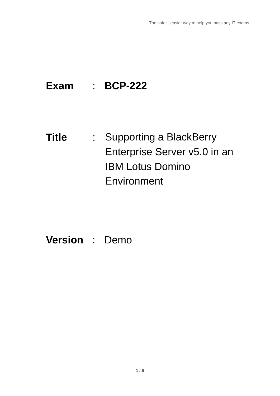## **Exam** : **BCP-222**

## **Title** : Supporting a BlackBerry Enterprise Server v5.0 in an IBM Lotus Domino **Environment**

## **Version** : Demo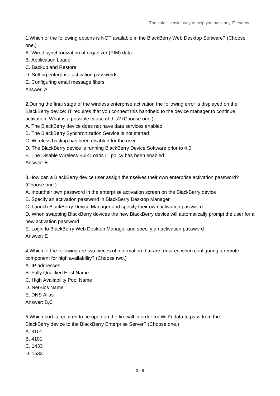1.Which of the following options is NOT available in the BlackBerry Web Desktop Software? (Choose one.)

- A. Wired synchronization of organizer (PIM) data
- B. Application Loader
- C. Backup and Restore
- D. Setting enterprise activation passwords
- E. Configuring email message filters

Answer: A

2.During the final stage of the wireless enterprise activation the following error is displayed on the BlackBerry device: IT requires that you connect this handheld to the device manager to continue activation. What is a possible cause of this? (Choose one.)

A. The BlackBerry device does not have data services enabled

- B. The BlackBerry Synchronization Service is not started
- C. Wireless backup has been disabled for the user
- D. The BlackBerry device is running BlackBerry Device Software prior to 4.0

E. The Disable Wireless Bulk Loads IT policy has been enabled

Answer: E

3.How can a BlackBerry device user assign themselves their own enterprise activation password? (Choose one.)

- A. Inputtheir own password in the enterprise activation screen on the BlackBerry device
- B. Specify an activation password in BlackBerry Desktop Manager
- C. Launch BlackBerry Device Manager and specify their own activation password

D. When swapping BlackBerry devices the new BlackBerry device will automatically prompt the user for a new activation password

E. Login to BlackBerry Web Desktop Manager and specify an activation password Answer: E

4.Which of the following are two pieces of information that are required when configuring a remote component for high availability? (Choose two.)

- A. IP addresses
- B. Fully Qualified Host Name
- C. High Availability Pool Name
- D. NetBios Name
- E. DNS Alias
- Answer: B,C

5.Which port is required to be open on the firewall in order for Wi-Fi data to pass from the BlackBerry device to the BlackBerry Enterprise Server? (Choose one.)

- A. 3101
- B. 4101
- C. 1433
- D. 1533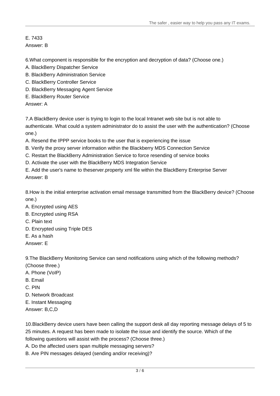E. 7433 Answer: B

6.What component is responsible for the encryption and decryption of data? (Choose one.)

- A. BlackBerry Dispatcher Service
- B. BlackBerry Administration Service
- C. BlackBerry Controller Service
- D. BlackBerry Messaging Agent Service
- E. BlackBerry Router Service

Answer: A

7.A BlackBerry device user is trying to login to the local Intranet web site but is not able to authenticate. What could a system administrator do to assist the user with the authentication? (Choose one.)

A. Resend the IPPP service books to the user that is experiencing the issue

- B. Verify the proxy server information within the Blackberry MDS Connection Service
- C. Restart the BlackBerry Administration Service to force resending of service books
- D. Activate the user with the BlackBerry MDS Integration Service

E. Add the user's name to theserver.property xml file within the BlackBerry Enterprise Server Answer: B

8.How is the initial enterprise activation email message transmitted from the BlackBerry device? (Choose one.)

- A. Encrypted using AES
- B. Encrypted using RSA
- C. Plain text
- D. Encrypted using Triple DES
- E. As a hash
- Answer: E

9.The BlackBerry Monitoring Service can send notifications using which of the following methods? (Choose three.)

- A. Phone (VoIP)
- B. Email **B. Email and the contract of the contract of the contract of the contract of the contract of the contract of the contract of the contract of the contract of the contract of the contract of the contract of the con**
- C. PIN
- D. Network Broadcast
- E. Instant Messaging
- Answer: B,C,D

10.BlackBerry device users have been calling the support desk all day reporting message delays of 5 to 25 minutes. A request has been made to isolate the issue and identify the source. Which of the following questions will assist with the process? (Choose three.)

- A. Do the affected users span multiple messaging servers?
- B. Are PIN messages delayed (sending and/or receiving)?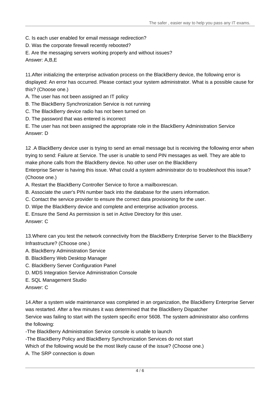- C. Is each user enabled for email message redirection?
- D. Was the corporate firewall recently rebooted?
- E. Are the messaging servers working properly and without issues?

Answer: A,B,E

11.After initializing the enterprise activation process on the BlackBerry device, the following error is displayed: An error has occurred. Please contact your system administrator. What is a possible cause for this? (Choose one.)

- A. The user has not been assigned an IT policy
- B. The BlackBerry Synchronization Service is not running
- C. The BlackBerry device radio has not been turned on
- D. The password that was entered is incorrect

E. The user has not been assigned the appropriate role in the BlackBerry Administration Service Answer: D

12 .A BlackBerry device user is trying to send an email message but is receiving the following error when trying to send: Failure at Service. The user is unable to send PIN messages as well. They are able to make phone calls from the BlackBerry device. No other user on the BlackBerry

Enterprise Server is having this issue. What could a system administrator do to troubleshoot this issue? (Choose one.)

A. Restart the BlackBerry Controller Service to force a mailboxrescan.

- B. Associate the user's PIN number back into the database for the users information.
- C. Contact the service provider to ensure the correct data provisioning for the user.
- D. Wipe the BlackBerry device and complete and enterprise activation process.
- E. Ensure the Send As permission is set in Active Directory for this user.

Answer: C

13.Where can you test the network connectivity from the BlackBerry Enterprise Server to the BlackBerry Infrastructure? (Choose one.)

- A. BlackBerry Administration Service
- B. BlackBerry Web Desktop Manager
- C. BlackBerry Server Configuration Panel
- D. MDS Integration Service Administration Console
- E. SQL Management Studio
- Answer: C

14.After a system wide maintenance was completed in an organization, the BlackBerry Enterprise Server was restarted. After a few minutes it was determined that the BlackBerry Dispatcher Service was failing to start with the system specific error 5608. The system administrator also confirms the following:<br>-The BlackBerry Administration Service console is unable to launch<br>-The BlackBerry Policy and BlackBerry Synchronization Services do not start

Which of the following would be the most likely cause of the issue? (Choose one.)

A. The SRP connection is down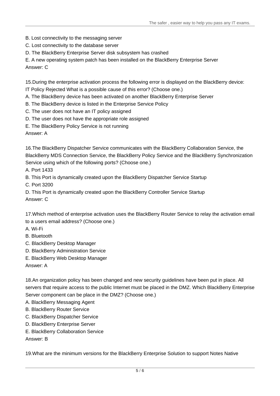- B. Lost connectivity to the messaging server
- C. Lost connectivity to the database server
- D. The BlackBerry Enterprise Server disk subsystem has crashed
- E. A new operating system patch has been installed on the BlackBerry Enterprise Server

Answer: C

15.During the enterprise activation process the following error is displayed on the BlackBerry device:

IT Policy Rejected What is a possible cause of this error? (Choose one.)

A. The BlackBerry device has been activated on another BlackBerry Enterprise Server

- B. The BlackBerry device is listed in the Enterprise Service Policy
- C. The user does not have an IT policy assigned
- D. The user does not have the appropriate role assigned
- E. The BlackBerry Policy Service is not running

Answer: A

16.The BlackBerry Dispatcher Service communicates with the BlackBerry Collaboration Service, the BlackBerry MDS Connection Service, the BlackBerry Policy Service and the BlackBerry Synchronization Service using which of the following ports? (Choose one.)

A. Port 1433

B. This Port is dynamically created upon the BlackBerry Dispatcher Service Startup

C. Port 3200

D. This Port is dynamically created upon the BlackBerry Controller Service Startup Answer: C

17.Which method of enterprise activation uses the BlackBerry Router Service to relay the activation email to a users email address? (Choose one.)

- A. Wi-Fi
- B. Bluetooth
- C. BlackBerry Desktop Manager
- D. BlackBerry Administration Service
- E. BlackBerry Web Desktop Manager

Answer: A

18.An organization policy has been changed and new security guidelines have been put in place. All servers that require access to the public Internet must be placed in the DMZ. Which BlackBerry Enterprise Server component can be place in the DMZ? (Choose one.)

- A. BlackBerry Messaging Agent
- B. BlackBerry Router Service
- C. BlackBerry Dispatcher Service
- D. BlackBerry Enterprise Server
- E. BlackBerry Collaboration Service

Answer: B

19.What are the minimum versions for the BlackBerry Enterprise Solution to support Notes Native